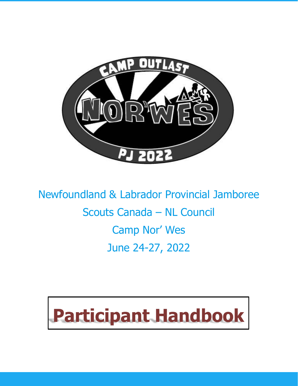

Newfoundland & Labrador Provincial Jamboree Scouts Canada – NL Council Camp Nor' Wes June 24-27, 2022

# **Participant Handbook**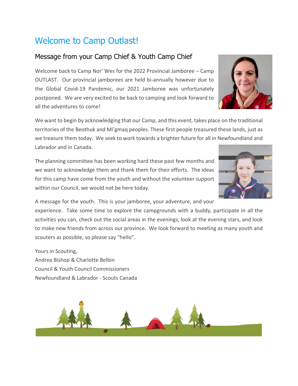# Welcome to Camp Outlast!

## Message from your Camp Chief & Youth Camp Chief

Welcome back to Camp Nor' Wes for the 2022 Provincial Jamboree – Camp OUTLAST. Our provincial jamborees are held bi-annually however due to the Global Covid-19 Pandemic, our 2021 Jamboree was unfortunately postponed. We are very excited to be back to camping and look forward to all the adventures to come!

We want to begin by acknowledging that our Camp, and this event, takes place on the traditional territories of the Beothuk and Mi'gmaq peoples. These first people treasured these lands, just as we treasure them today. We seek to work towards a brighter future for all in Newfoundland and Labrador and in Canada.

The planning committee has been working hard these past few months and we want to acknowledge them and thank them for their efforts. The ideas for this camp have come from the youth and without the volunteer support within our Council, we would not be here today.

A message for the youth. This is your jamboree, your adventure, and your

experience. Take some time to explore the campgrounds with a buddy, participate in all the activities you can, check out the social areas in the evenings, look at the evening stars, and look to make new friends from across our province. We look forward to meeting as many youth and scouters as possible, so please say "hello".

Yours in Scouting, Andrea Bishop & Charlotte Belbin Council & Youth Council Commissioners Newfoundland & Labrador - Scouts Canada





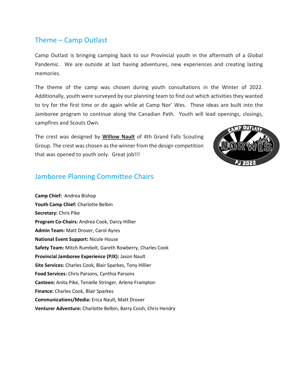## Theme – Camp Outlast

Camp Outlast is bringing camping back to our Provincial youth in the aftermath of a Global Pandemic. We are outside at last having adventures, new experiences and creating lasting memories.

The theme of the camp was chosen during youth consultations in the Winter of 2022. Additionally, youth were surveyed by our planning team to find out which activities they wanted to try for the first time or do again while at Camp Nor' Wes. These ideas are built into the Jamboree program to continue along the Canadian Path. Youth will lead openings, closings, campfires and Scouts Own.

The crest was designed by **Willow Nault** of 4th Grand Falls Scouting Group. The crest was chosen asthe winner from the design competition that was opened to youth only. Great job!!!



## Jamboree Planning Committee Chairs

**Camp Chief:** Andrea Bishop **Youth Camp Chief:** Charlotte Belbin **Secretary:** Chris Pike **Program Co-Chairs:** Andrea Cook, Darcy Hillier **Admin Team:** Matt Drover, Carol Ayres **National Event Support:** Nicole House **Safety Team:** Mitch Rumbolt, Gareth Rowberry, Charles Cook **Provincial Jamboree Experience (PJX):** Jason Nault **Site Services:** Charles Cook, Blair Sparkes, Tony Hillier **Food Services:** Chris Parsons, Cynthia Parsons **Canteen:** Anita Pike, Tenielle Stringer, Arlene Frampton **Finance:** Charles Cook, Blair Sparkes **Communications/Media:** Erica Nault, Matt Drover **Venturer Adventure:** Charlotte Belbin, Barry Coish, Chris Hendry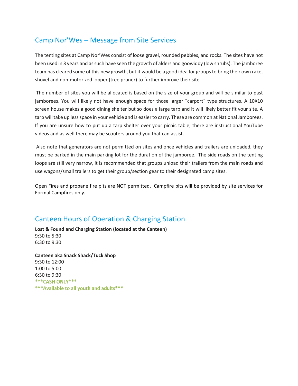## Camp Nor'Wes – Message from Site Services

The tenting sites at Camp Nor'Wes consist of loose gravel, rounded pebbles, and rocks. The sites have not been used in 3 years and assuch have seen the growth of alders and goowiddy (low shrubs). The jamboree team has cleared some of this new growth, but it would be a good idea for groups to bring their own rake, shovel and non-motorized lopper (tree pruner) to further improve their site.

The number of sites you will be allocated is based on the size of your group and will be similar to past jamborees. You will likely not have enough space for those larger "carport" type structures. A 10X10 screen house makes a good dining shelter but so does a large tarp and it will likely better fit your site. A tarp will take up less space in your vehicle and is easier to carry. These are common at National Jamborees. If you are unsure how to put up a tarp shelter over your picnic table, there are instructional YouTube videos and as well there may be scouters around you that can assist.

Also note that generators are not permitted on sites and once vehicles and trailers are unloaded, they must be parked in the main parking lot for the duration of the jamboree. The side roads on the tenting loops are still very narrow, it is recommended that groups unload their trailers from the main roads and use wagons/small trailers to get their group/section gear to their designated camp sites.

Open Fires and propane fire pits are NOT permitted. Campfire pits will be provided by site services for Formal Campfires only.

## Canteen Hours of Operation & Charging Station

**Lost & Found and Charging Station (located at the Canteen)** 9:30 to 5:30 6:30 to 9:30

**Canteen aka Snack Shack/Tuck Shop** 9:30 to 12:00 1:00 to 5:00 6:30 to 9:30**\*\*\* CASH ONLY\*\*\*** \*\*\* Available to all youth and adults \*\*\*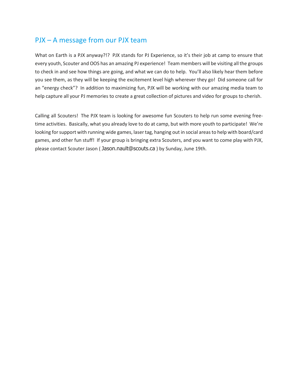## PJX – A message from our PJX team

What on Earth is a PJX anyway?!? PJX stands for PJ Experience, so it's their job at camp to ensure that every youth, Scouter and OOS has an amazing PJ experience! Team members will be visiting all the groups to check in and see how things are going, and what we can do to help. You'll also likely hear them before you see them, as they will be keeping the excitement level high wherever they go! Did someone call for an "energy check"? In addition to maximizing fun, PJX will be working with our amazing media team to help capture all your PJ memories to create a great collection of pictures and video for groups to cherish.

Calling all Scouters! The PJX team is looking for awesome fun Scouters to help run some evening freetime activities. Basically, what you already love to do at camp, but with more youth to participate! We're looking for support with running wide games, laser tag, hanging out in social areas to help with board/card games, and other fun stuff! If your group is bringing extra Scouters, and you want to come play with PJX, please contact Scouter Jason ( [Jason.nault@scouts.ca](mailto:Jason.nault@scouts.ca) ) by Sunday, June 19th.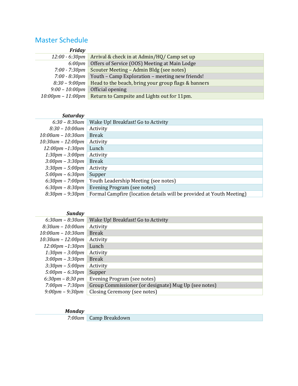## Master Schedule

| Friday                              |                                                     |
|-------------------------------------|-----------------------------------------------------|
| $12:00 - 6:30$ pm                   | Arrival & check in at Admin/HQ/ Camp set up         |
| 6:00 <sub>pm</sub>                  | Offers of Service (OOS) Meeting at Main Lodge       |
| $7:00 - 7:30$ pm                    | Scouter Meeting - Admin Bldg (see notes)            |
| $7:00 - 8:30$ pm                    | Youth - Camp Exploration - meeting new friends!     |
| $8:30 - 9:00$ pm                    | Head to the beach, bring your group flags & banners |
| $9:00 - 10:00$ pm                   | Official opening                                    |
| $10:00 \text{pm} - 11:00 \text{pm}$ | Return to Campsite and Lights out for 11pm.         |

#### *Saturday*

| Wake Up! Breakfast! Go to Activity                                   |
|----------------------------------------------------------------------|
| Activity                                                             |
| <b>Break</b>                                                         |
| Activity                                                             |
| Lunch                                                                |
| Activity                                                             |
| <b>Break</b>                                                         |
| Activity                                                             |
| Supper                                                               |
| Youth Leadership Meeting (see notes)                                 |
| Evening Program (see notes)                                          |
| Formal Campfire (location details will be provided at Youth Meeting) |
|                                                                      |

| Sunday                             |                                                      |
|------------------------------------|------------------------------------------------------|
| $6:30$ am – $8:30$ am              | Wake Up! Breakfast! Go to Activity                   |
| $8:30$ am – 10:00am                | Activity                                             |
| $10:00$ am – 10:30am               | <b>Break</b>                                         |
| $10:30$ am - $12:00$ pm            | Activity                                             |
| $12:00 \text{pm} - 1:30 \text{pm}$ | Lunch                                                |
| $1:30pm - 3:00pm$                  | Activity                                             |
| $3:00 \text{pm} - 3:30 \text{pm}$  | <b>Break</b>                                         |
| $3:30$ pm – $5:00$ pm              | Activity                                             |
| $5:00 \text{pm} - 6:30 \text{pm}$  | Supper                                               |
| $6:30 \text{pm} - 8:30 \text{pm}$  | Evening Program (see notes)                          |
| $7:00 \text{pm} - 7:30 \text{pm}$  | Group Commissioner (or designate) Mug Up (see notes) |
| $9:00 \text{pm} - 9:30 \text{pm}$  | Closing Ceremony (see notes)                         |
|                                    |                                                      |

#### *Monday*

| 7:00am Camp Breakdown |
|-----------------------|
|                       |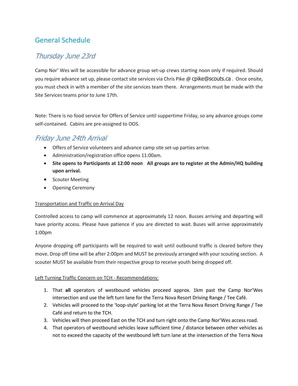## General Schedule

## Thursday June 23rd

Camp Nor' Wes will be accessible for advance group set-up crews starting noon only if required. Should you require advance set up, please contact site services via Chris Pike @ [cpike@scouts.ca](mailto:cpike@scouts.ca) . Once onsite, you must check in with a member of the site services team there. Arrangements must be made with the Site Services teams prior to June 17th.

Note: There is no food service for Offers of Service until suppertime Friday, so any advance groups come self-contained. Cabins are pre-assigned to OOS.

## Friday June 24th Arrival

- Offers of Service volunteers and advance camp site set-up parties arrive.
- Administration/registration office opens 11:00am.
- **Site opens to Participants at 12:00 noon All groups are to register at the Admin/HQ building upon arrival.**
- Scouter Meeting
- Opening Ceremony

#### Transportation and Traffic on Arrival Day

Controlled access to camp will commence at approximately 12 noon. Busses arriving and departing will have priority access. Please have patience if you are directed to wait. Buses will arrive approximately 1:00pm

Anyone dropping off participants will be required to wait until outbound traffic is cleared before they move. Drop off time will be after 2:00pm and MUST be previously arranged with your scouting section. A scouter MUST be available from their respective group to receive youth being dropped off.

#### Left Turning Traffic Concern on TCH - Recommendations:

- 1. That **all** operators of westbound vehicles proceed approx. 1km past the Camp Nor'Wes intersection and use the left turn lane for the Terra Nova Resort Driving Range / Tee Café.
- 2. Vehicles will proceed to the 'loop-style' parking lot at the Terra Nova Resort Driving Range / Tee Café and return to the TCH.
- 3. Vehicles will then proceed East on the TCH and turn right onto the Camp Nor'Wes access road.
- 4. That operators of westbound vehicles leave sufficient time / distance between other vehicles as not to exceed the capacity of the westbound left turn lane at the intersection of the Terra Nova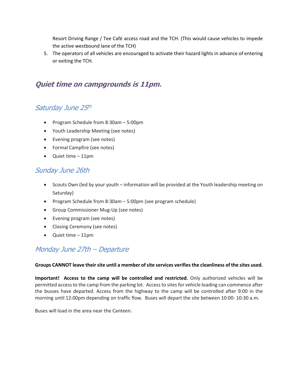Resort Driving Range / Tee Café access road and the TCH. (This would cause vehicles to impede the active westbound lane of the TCH)

5. The operators of all vehicles are encouraged to activate their hazard lights in advance of entering or exiting the TCH.

## Quiet time on campgrounds is 11pm.

## Saturday June 25th

- Program Schedule from 8:30am 5:00pm
- Youth Leadership Meeting (see notes)
- Evening program (see notes)
- Formal Campfire (see notes)
- Quiet time 11pm

## Sunday June 26th

- Scouts Own (led by your youth information will be provided at the Youth leadership meeting on Saturday)
- Program Schedule from 8:30am 5:00pm (see program schedule)
- Group Commissioner Mug-Up (see notes)
- Evening program (see notes)
- Closing Ceremony (see notes)
- Quiet time 11pm

## Monday June 27th – Departure

#### **Groups CANNOT leave their site until a member ofsite services verifies the cleanliness of the sites used.**

**Important! Access to the camp will be controlled and restricted.** Only authorized vehicles will be permitted accessto the camp from the parking lot. Accessto sitesfor vehicle loading can commence after the busses have departed. Access from the highway to the camp will be controlled after 9:00 in the morning until 12:00pm depending on traffic flow. Buses will depart the site between 10:00- 10:30 a.m.

Buses will load in the area near the Canteen.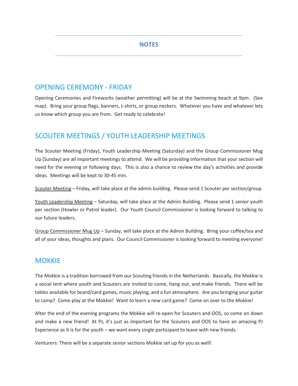#### **NOTES**

### OPENING CEREMONY - FRIDAY

Opening Ceremonies and Fireworks (weather permitting) will be at the Swimming beach at 9pm. (See map). Bring your group flags, banners, t-shirts, or group neckers. Whatever you have and whatever lets us know which group you are from. Get ready to celebrate!

## SCOUTER MEETINGS / YOUTH LEADERSHIP MEETINGS

The Scouter Meeting (Friday), Youth Leadership Meeting (Saturday) and the Group Commissioner Mug Up (Sunday) are all important meetings to attend. We will be providing information that your section will need for the evening or following days. This is also a chance to review the day's activities and provide ideas. Meetings will be kept to 30-45 min.

Scouter Meeting – Friday, will take place at the admin building. Please send 1 Scouter per section/group.

Youth Leadership Meeting – Saturday, will take place at the Admin Building. Please send 1 senior youth per section (Howler or Patrol leader). Our Youth Council Commissioner is looking forward to talking to our future leaders.

Group Commissioner Mug Up – Sunday, will take place at the Admin Building. Bring your coffee/tea and all of your ideas, thoughts and plans. Our Council Commissioner is looking forward to meeting everyone!

## **MOKKIE**

The Mokkie is a tradition borrowed from our Scouting friends in the Netherlands. Basically, the Mokkie is a social tent where youth and Scouters are invited to come, hang out, and make friends. There will be tables available for board/card games, music playing, and a fun atmosphere. Are you bringing your guitar to camp? Come play at the Mokkie! Want to learn a new card game? Come on over to the Mokkie!

After the end of the evening programs the Mokkie will re-open for Scouters and OOS, so come on down and make a new friend! At PJ, it's just as important for the Scouters and OOS to have an amazing PJ Experience as it is for the youth – we want every single participant to leave with new friends.

Venturers: There will be a separate senior sections Mokkie set up for you as well!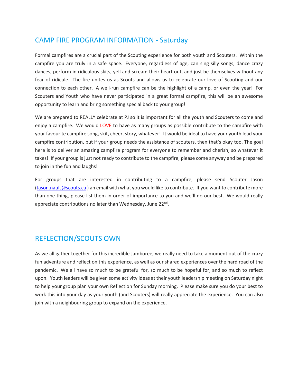## CAMP FIRE PROGRAM INFORMATION - Saturday

Formal campfires are a crucial part of the Scouting experience for both youth and Scouters. Within the campfire you are truly in a safe space. Everyone, regardless of age, can sing silly songs, dance crazy dances, perform in ridiculous skits, yell and scream their heart out, and just be themselves without any fear of ridicule. The fire unites us as Scouts and allows us to celebrate our love of Scouting and our connection to each other. A well-run campfire can be the highlight of a camp, or even the year! For Scouters and Youth who have never participated in a great formal campfire, this will be an awesome opportunity to learn and bring something special back to your group!

We are prepared to REALLY celebrate at PJ so it is important for all the youth and Scouters to come and enjoy a campfire. We would LOVE to have as many groups as possible contribute to the campfire with your favourite campfire song, skit, cheer, story, whatever! It would be ideal to have your youth lead your campfire contribution, but if your group needs the assistance of scouters, then that's okay too. The goal here is to deliver an amazing campfire program for everyone to remember and cherish, so whatever it takes! If your group is just not ready to contribute to the campfire, please come anyway and be prepared to join in the fun and laughs!

For groups that are interested in contributing to a campfire, please send Scouter Jason [\(Jason.nault@scouts.ca](mailto:Jason.nault@scouts.ca) ) an email with what you would like to contribute. If you want to contribute more than one thing, please list them in order of importance to you and we'll do our best. We would really appreciate contributions no later than Wednesday, June 22<sup>nd</sup>.

## REFLECTION/SCOUTS OWN

As we all gather together for this incredible Jamboree, we really need to take a moment out of the crazy fun adventure and reflect on this experience, as well as our shared experiences over the hard road of the pandemic. We all have so much to be grateful for, so much to be hopeful for, and so much to reflect upon. Youth leaders will be given some activity ideas at their youth leadership meeting on Saturday night to help your group plan your own Reflection for Sunday morning. Please make sure you do your best to work this into your day as your youth (and Scouters) will really appreciate the experience. You can also join with a neighbouring group to expand on the experience.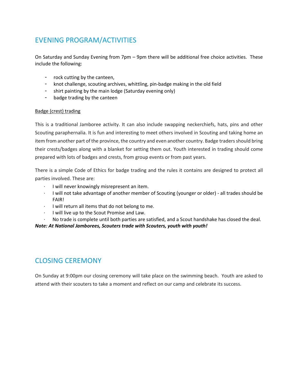## EVENING PROGRAM/ACTIVITIES

On Saturday and Sunday Evening from 7pm – 9pm there will be additional free choice activities. These include the following:

- rock cutting by the canteen,
- knot challenge, scouting archives, whittling, pin-badge making in the old field
- shirt painting by the main lodge (Saturday evening only)
- badge trading by the canteen

#### Badge (crest) trading

This is a traditional Jamboree activity. It can also include swapping neckerchiefs, hats, pins and other Scouting paraphernalia. It is fun and interesting to meet others involved in Scouting and taking home an item from another part of the province, the country and even another country. Badge traders should bring their crests/badges along with a blanket for setting them out. Youth interested in trading should come prepared with lots of badges and crests, from group events or from past years.

There is a simple Code of Ethics for badge trading and the rules it contains are designed to protect all parties involved. These are:

- · I will never knowingly misrepresent an item.
- · I will not take advantage of another member of Scouting (younger or older) all trades should be FAIR!
- · I will return all items that do not belong to me.
- · I will live up to the Scout Promise and Law.
- · No trade is complete until both parties are satisfied, and a Scout handshake has closed the deal.

*Note: At National Jamborees, Scouters trade with Scouters, youth with youth!*

## CLOSING CEREMONY

On Sunday at 9:00pm our closing ceremony will take place on the swimming beach. Youth are asked to attend with their scouters to take a moment and reflect on our camp and celebrate its success.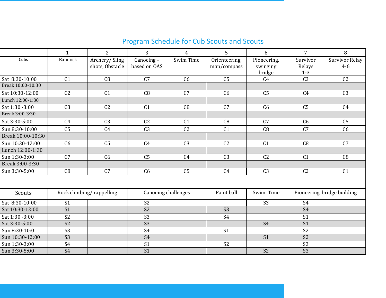|                   | $\mathbf{1}$    | $\overline{2}$                   | $\overline{3}$            | $\overline{4}$ | 5                            | 6                                 | $\overline{7}$                | 8                           |
|-------------------|-----------------|----------------------------------|---------------------------|----------------|------------------------------|-----------------------------------|-------------------------------|-----------------------------|
| Cubs              | <b>Bannock</b>  | Archery/Sling<br>shots, Obstacle | Canoeing-<br>based on OAS | Swim Time      | Orienteering,<br>map/compass | Pioneering,<br>swinging<br>bridge | Survivor<br>Relays<br>$1 - 3$ | Survivor Relay<br>$4 - 6$   |
| Sat 8:30-10:00    | C <sub>1</sub>  | C8                               | C7                        | C6             | C <sub>5</sub>               | C <sub>4</sub>                    | C <sub>3</sub>                | C <sub>2</sub>              |
| Break 10:00-10:30 |                 |                                  |                           |                |                              |                                   |                               |                             |
| Sat 10:30-12:00   | C <sub>2</sub>  | C <sub>1</sub>                   | C8                        | C7             | C6                           | C <sub>5</sub>                    | C <sub>4</sub>                | C <sub>3</sub>              |
| Lunch 12:00-1:30  |                 |                                  |                           |                |                              |                                   |                               |                             |
| Sat 1:30 -3:00    | C <sub>3</sub>  | C <sub>2</sub>                   | C <sub>1</sub>            | C8             | C7                           | C6                                | C <sub>5</sub>                | C <sub>4</sub>              |
| Break 3:00-3:30   |                 |                                  |                           |                |                              |                                   |                               |                             |
| Sat 3:30-5:00     | C <sub>4</sub>  | C <sub>3</sub>                   | C <sub>2</sub>            | C <sub>1</sub> | C8                           | C <sub>7</sub>                    | C <sub>6</sub>                | C <sub>5</sub>              |
| Sun 8:30-10:00    | C <sub>5</sub>  | C <sub>4</sub>                   | C <sub>3</sub>            | C <sub>2</sub> | C <sub>1</sub>               | C8                                | C7                            | C6                          |
| Break 10:00-10:30 |                 |                                  |                           |                |                              |                                   |                               |                             |
| Sun 10:30-12:00   | C <sub>6</sub>  | C <sub>5</sub>                   | C <sub>4</sub>            | C <sub>3</sub> | C <sub>2</sub>               | C <sub>1</sub>                    | C8                            | C7                          |
| Lunch 12:00-1:30  |                 |                                  |                           |                |                              |                                   |                               |                             |
| Sun 1:30-3:00     | C <sub>7</sub>  | C6                               | C <sub>5</sub>            | C <sub>4</sub> | C <sub>3</sub>               | C <sub>2</sub>                    | C <sub>1</sub>                | C8                          |
| Break 3:00-3:30   |                 |                                  |                           |                |                              |                                   |                               |                             |
| Sun 3:30-5:00     | C8              | C <sub>7</sub>                   | C6                        | C <sub>5</sub> | C <sub>4</sub>               | C <sub>3</sub>                    | C <sub>2</sub>                | C <sub>1</sub>              |
|                   |                 |                                  |                           |                |                              |                                   |                               |                             |
| Scouts            |                 | Rock climbing/rappelling         | Canoeing challenges       |                | Paint ball                   | Swim Time                         |                               | Pioneering, bridge building |
| Sat 8:30-10:00    | S <sub>1</sub>  |                                  | S <sub>2</sub>            |                |                              | S <sub>3</sub>                    | S <sub>4</sub>                |                             |
| Sat 10:30-12:00   | S <sub>1</sub>  |                                  | S <sub>2</sub>            |                | S <sub>3</sub>               |                                   | <b>S4</b>                     |                             |
| Sat 1:30 -3:00    | S <sub>2</sub>  |                                  | S <sub>3</sub>            |                | S <sub>4</sub>               |                                   | S <sub>1</sub>                |                             |
| Sat 3:30-5:00     | S <sub>2</sub>  |                                  | S <sub>3</sub>            |                |                              | <b>S4</b>                         | S <sub>1</sub>                |                             |
| Sun 8:30-10:0     | S <sub>3</sub>  |                                  | S <sub>4</sub>            |                | S <sub>1</sub>               |                                   | S <sub>2</sub>                |                             |
| Sun 10:30-12:00   | $\overline{S3}$ |                                  | $\overline{S4}$           |                |                              | S <sub>1</sub>                    | $\overline{S2}$               |                             |
| Sun 1:30-3:00     | S <sub>4</sub>  |                                  | S1                        |                | S <sub>2</sub>               |                                   | S <sub>3</sub>                |                             |
| Sun 3:30-5:00     | <b>S4</b>       |                                  | S <sub>1</sub>            |                |                              | S <sub>2</sub>                    | S <sub>3</sub>                |                             |

## Program Schedule for Cub Scouts and Scouts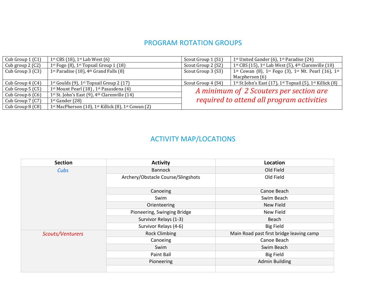## PROGRAM ROTATION GROUPS

| Cub Group $1$ (C1)   | 1 <sup>st</sup> CBS (18), 1 <sup>st</sup> Lab West (6)           | Scout Group 1 (S1)                        | 1 <sup>st</sup> United Gander (6), 1 <sup>st</sup> Paradise (24)                                     |
|----------------------|------------------------------------------------------------------|-------------------------------------------|------------------------------------------------------------------------------------------------------|
| Cub group $2(C2)$    | $1st$ Fogo (8), $1st$ Topsail Group 1 (18)                       | Scout Group 2 (S2)                        | 1 <sup>st</sup> CBS (15), 1 <sup>st</sup> Lab West (5), 4 <sup>th</sup> Clarenville (10)             |
| Cub Group $3(G3)$    | 1 <sup>st</sup> Paradise (18), $4th$ Grand Falls (8)             | Scout Group 3 (S3)                        | 1 <sup>st</sup> Cowan (8), 1 <sup>st</sup> Fogo (3), 1 <sup>st</sup> Mt. Pearl (16), 1 <sup>st</sup> |
|                      |                                                                  |                                           | Macpherson (6)                                                                                       |
| Cub Group $4$ (C4)   | 1 <sup>st</sup> Goulds (9), 1 <sup>st</sup> Topsail Group 2 (17) | Scout Group 4 (S4)                        | 1 <sup>st</sup> St John's East (17), 1 <sup>st</sup> Topsail (5), 1 <sup>st</sup> Killick (8)        |
| Cub Group $5(G5)$    | 1 <sup>st</sup> Mount Pearl (18), 1 <sup>st</sup> Pasasdena (4)  |                                           | A minimum of 2 Scouters per section are                                                              |
| Cub Group $6($ $C6)$ | $1st$ St. John's East (9), $4th$ Clarenville (14)                |                                           |                                                                                                      |
| Cub Group $7(27)$    | $1st$ Gander (28)                                                | required to attend all program activities |                                                                                                      |
| Cub Group 8 (C8)     | 1st MacPherson (10), 1st Killick (8), 1st Cowan (2)              |                                           |                                                                                                      |

# ACTIVITY MAP/LOCATIONS

| <b>Section</b>   | <b>Activity</b>                    | Location                                 |  |  |
|------------------|------------------------------------|------------------------------------------|--|--|
| Cubs             | Bannock                            | Old Field                                |  |  |
|                  | Archery/Obstacle Course/Slingshots | Old Field                                |  |  |
|                  | Canoeing                           | Canoe Beach                              |  |  |
|                  | Swim                               | Swim Beach                               |  |  |
|                  | Orienteering                       | New Field                                |  |  |
|                  | Pioneering, Swinging Bridge        | New Field                                |  |  |
|                  | Survivor Relays (1-3)              | Beach                                    |  |  |
|                  | Survivor Relays (4-6)              | <b>Big Field</b>                         |  |  |
| Scouts/Venturers | <b>Rock Climbing</b>               | Main Road past first bridge leaving camp |  |  |
|                  | Canoeing                           | Canoe Beach                              |  |  |
|                  | Swim                               | Swim Beach                               |  |  |
|                  | Paint Ball                         | <b>Big Field</b>                         |  |  |
|                  | Pioneering                         | <b>Admin Building</b>                    |  |  |
|                  |                                    |                                          |  |  |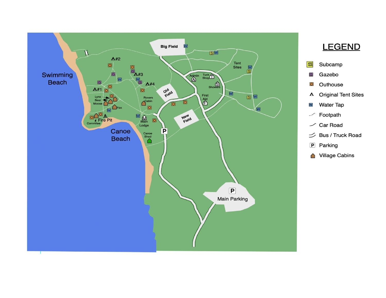

# **LEGEND**